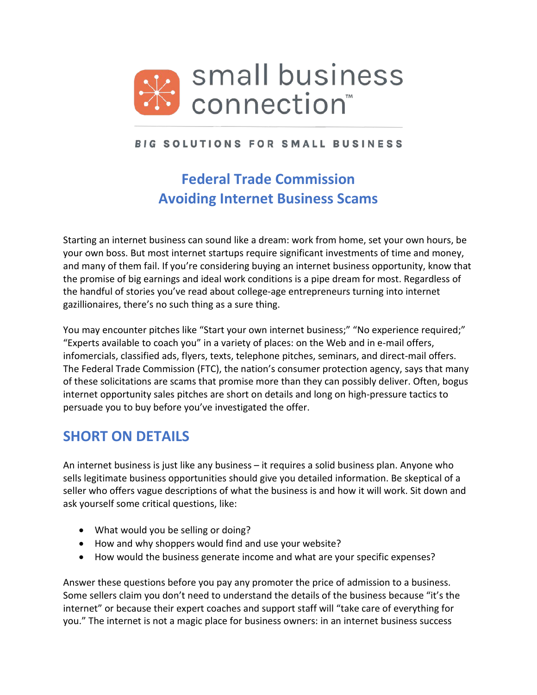

BIG SOLUTIONS FOR SMALL BUSINESS

# **Federal Trade Commission Avoiding Internet Business Scams**

Starting an internet business can sound like a dream: work from home, set your own hours, be your own boss. But most internet startups require significant investments of time and money, and many of them fail. If you're considering buying an internet business opportunity, know that the promise of big earnings and ideal work conditions is a pipe dream for most. Regardless of the handful of stories you've read about college-age entrepreneurs turning into internet gazillionaires, there's no such thing as a sure thing.

You may encounter pitches like "Start your own internet business;" "No experience required;" "Experts available to coach you" in a variety of places: on the Web and in e-mail offers, infomercials, classified ads, flyers, texts, telephone pitches, seminars, and direct-mail offers. The Federal Trade Commission (FTC), the nation's consumer protection agency, says that many of these solicitations are scams that promise more than they can possibly deliver. Often, bogus internet opportunity sales pitches are short on details and long on high-pressure tactics to persuade you to buy before you've investigated the offer.

### **SHORT ON DETAILS**

An internet business is just like any business – it requires a solid business plan. Anyone who sells legitimate business opportunities should give you detailed information. Be skeptical of a seller who offers vague descriptions of what the business is and how it will work. Sit down and ask yourself some critical questions, like:

- What would you be selling or doing?
- How and why shoppers would find and use your website?
- How would the business generate income and what are your specific expenses?

Answer these questions before you pay any promoter the price of admission to a business. Some sellers claim you don't need to understand the details of the business because "it's the internet" or because their expert coaches and support staff will "take care of everything for you." The internet is not a magic place for business owners: in an internet business success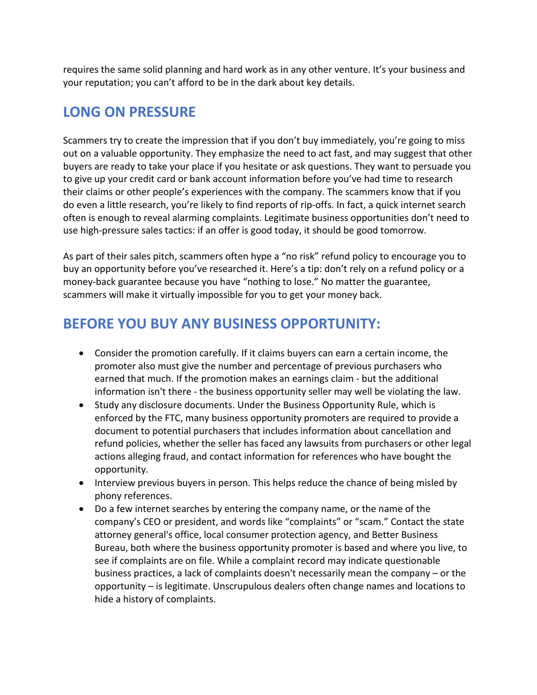requires the same solid planning and hard work as in any other venture. It's your business and your reputation; you can't afford to be in the dark about key details.

# **LONG ON PRESSURE**

Scammers try to create the impression that if you don't buy immediately, you're going to miss out on a valuable opportunity. They emphasize the need to act fast, and may suggest that other buyers are ready to take your place if you hesitate or ask questions. They want to persuade you to give up your credit card or bank account information before you've had time to research their claims or other people's experiences with the company. The scammers know that if you do even a little research, you're likely to find reports of rip-offs. In fact, a quick internet search often is enough to reveal alarming complaints. Legitimate business opportunities don't need to use high-pressure sales tactics: if an offer is good today, it should be good tomorrow.

As part of their sales pitch, scammers often hype a "no risk" refund policy to encourage you to buy an opportunity before you've researched it. Here's a tip: don't rely on a refund policy or a money-back guarantee because you have "nothing to lose." No matter the guarantee, scammers will make it virtually impossible for you to get your money back.

# **BEFORE YOU BUY ANY BUSINESS OPPORTUNITY:**

- Consider the promotion carefully. If it claims buyers can earn a certain income, the promoter also must give the number and percentage of previous purchasers who earned that much. If the promotion makes an earnings claim - but the additional information isn't there - the business opportunity seller may well be violating the law.
- Study any disclosure documents. Under the Business Opportunity Rule, which is enforced by the FTC, many business opportunity promoters are required to provide a document to potential purchasers that includes information about cancellation and refund policies, whether the seller has faced any lawsuits from purchasers or other legal actions alleging fraud, and contact information for references who have bought the opportunity.
- Interview previous buyers in person. This helps reduce the chance of being misled by phony references.
- Do a few internet searches by entering the company name, or the name of the company's CEO or president, and words like "complaints" or "scam." Contact the state attorney general's office, local consumer protection agency, and Better Business Bureau, both where the business opportunity promoter is based and where you live, to see if complaints are on file. While a complaint record may indicate questionable business practices, a lack of complaints doesn't necessarily mean the company – or the opportunity – is legitimate. Unscrupulous dealers often change names and locations to hide a history of complaints.